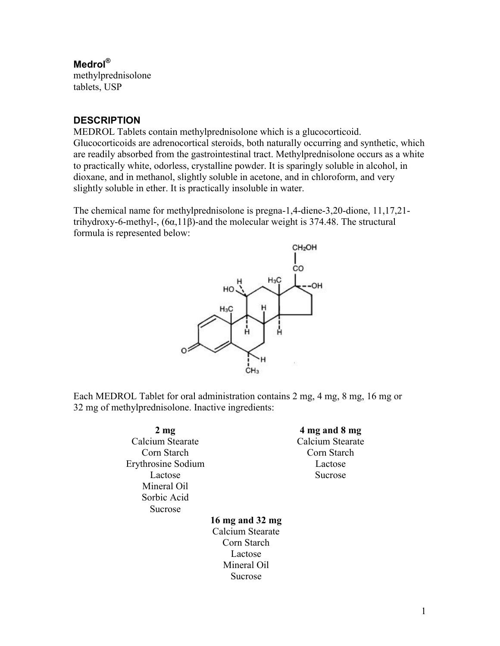**Medrol®** methylprednisolone tablets, USP

#### **DESCRIPTION**

MEDROL Tablets contain methylprednisolone which is a glucocorticoid. Glucocorticoids are adrenocortical steroids, both naturally occurring and synthetic, which are readily absorbed from the gastrointestinal tract. Methylprednisolone occurs as a white to practically white, odorless, crystalline powder. It is sparingly soluble in alcohol, in dioxane, and in methanol, slightly soluble in acetone, and in chloroform, and very slightly soluble in ether. It is practically insoluble in water.

The chemical name for methylprednisolone is pregna-1,4-diene-3,20-dione, 11,17,21 trihydroxy-6-methyl-,  $(6\alpha, 11\beta)$ -and the molecular weight is 374.48. The structural formula is represented below:



Each MEDROL Tablet for oral administration contains 2 mg, 4 mg, 8 mg, 16 mg or 32 mg of methylprednisolone. Inactive ingredients:

> **2 mg** Calcium Stearate Corn Starch Erythrosine Sodium Lactose Mineral Oil Sorbic Acid Sucrose

**4 mg and 8 mg** Calcium Stearate Corn Starch Lactose Sucrose

#### **16 mg and 32 mg**

Calcium Stearate Corn Starch Lactose Mineral Oil Sucrose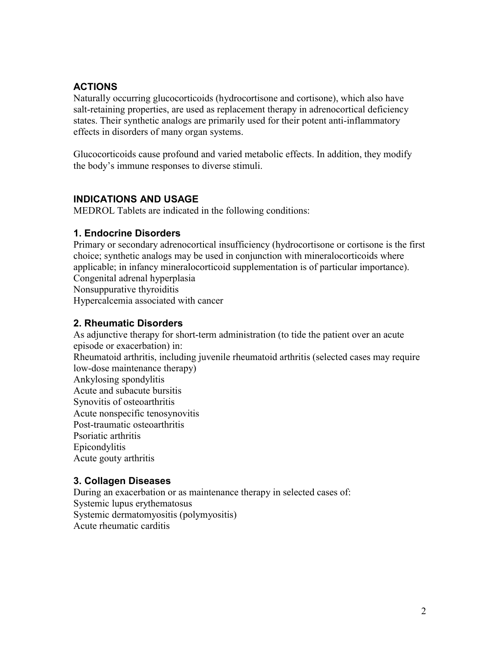## **ACTIONS**

Naturally occurring glucocorticoids (hydrocortisone and cortisone), which also have salt-retaining properties, are used as replacement therapy in adrenocortical deficiency states. Their synthetic analogs are primarily used for their potent anti-inflammatory effects in disorders of many organ systems.

Glucocorticoids cause profound and varied metabolic effects. In addition, they modify the body's immune responses to diverse stimuli.

## **INDICATIONS AND USAGE**

MEDROL Tablets are indicated in the following conditions:

#### **1. Endocrine Disorders**

Primary or secondary adrenocortical insufficiency (hydrocortisone or cortisone is the first choice; synthetic analogs may be used in conjunction with mineralocorticoids where applicable; in infancy mineralocorticoid supplementation is of particular importance). Congenital adrenal hyperplasia Nonsuppurative thyroiditis Hypercalcemia associated with cancer

#### **2. Rheumatic Disorders**

As adjunctive therapy for short-term administration (to tide the patient over an acute episode or exacerbation) in: Rheumatoid arthritis, including juvenile rheumatoid arthritis (selected cases may require low-dose maintenance therapy) Ankylosing spondylitis Acute and subacute bursitis Synovitis of osteoarthritis Acute nonspecific tenosynovitis Post-traumatic osteoarthritis Psoriatic arthritis Epicondylitis Acute gouty arthritis

## **3. Collagen Diseases**

During an exacerbation or as maintenance therapy in selected cases of: Systemic lupus erythematosus Systemic dermatomyositis (polymyositis) Acute rheumatic carditis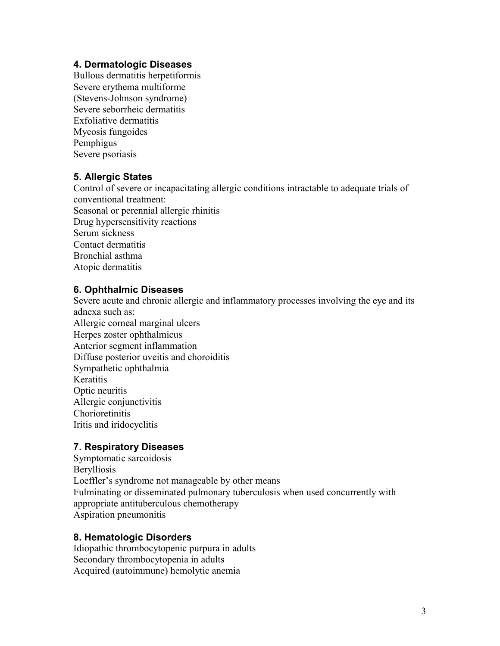#### **4. Dermatologic Diseases**

Bullous dermatitis herpetiformis Severe erythema multiforme (Stevens-Johnson syndrome) Severe seborrheic dermatitis Exfoliative dermatitis Mycosis fungoides Pemphigus Severe psoriasis

## **5. Allergic States**

Control of severe or incapacitating allergic conditions intractable to adequate trials of conventional treatment: Seasonal or perennial allergic rhinitis Drug hypersensitivity reactions Serum sickness Contact dermatitis Bronchial asthma Atopic dermatitis

## **6. Ophthalmic Diseases**

Severe acute and chronic allergic and inflammatory processes involving the eye and its adnexa such as: Allergic corneal marginal ulcers Herpes zoster ophthalmicus Anterior segment inflammation Diffuse posterior uveitis and choroiditis Sympathetic ophthalmia Keratitis Optic neuritis Allergic conjunctivitis Chorioretinitis Iritis and iridocyclitis **7. Respiratory Diseases**

# Symptomatic sarcoidosis

**Berylliosis** Loeffler's syndrome not manageable by other means Fulminating or disseminated pulmonary tuberculosis when used concurrently with appropriate antituberculous chemotherapy Aspiration pneumonitis

#### **8. Hematologic Disorders**

Idiopathic thrombocytopenic purpura in adults Secondary thrombocytopenia in adults Acquired (autoimmune) hemolytic anemia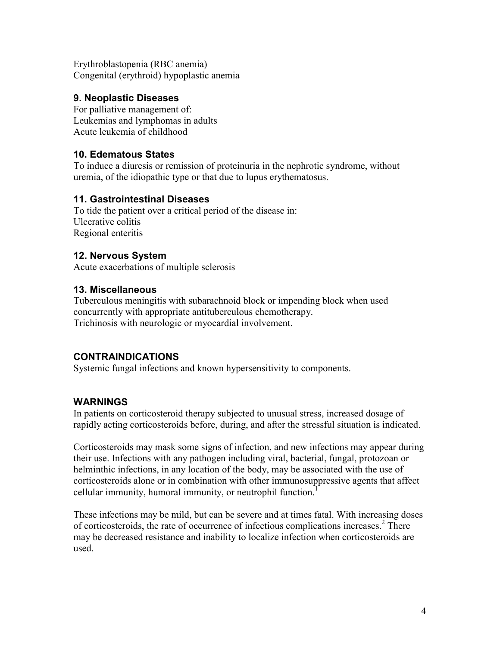Erythroblastopenia (RBC anemia) Congenital (erythroid) hypoplastic anemia

#### **9. Neoplastic Diseases**

For palliative management of: Leukemias and lymphomas in adults Acute leukemia of childhood

## **10. Edematous States**

To induce a diuresis or remission of proteinuria in the nephrotic syndrome, without uremia, of the idiopathic type or that due to lupus erythematosus.

#### **11. Gastrointestinal Diseases**

To tide the patient over a critical period of the disease in: Ulcerative colitis Regional enteritis

#### **12. Nervous System**

Acute exacerbations of multiple sclerosis

#### **13. Miscellaneous**

Tuberculous meningitis with subarachnoid block or impending block when used concurrently with appropriate antituberculous chemotherapy. Trichinosis with neurologic or myocardial involvement.

## **CONTRAINDICATIONS**

Systemic fungal infections and known hypersensitivity to components.

## **WARNINGS**

In patients on corticosteroid therapy subjected to unusual stress, increased dosage of rapidly acting corticosteroids before, during, and after the stressful situation is indicated.

Corticosteroids may mask some signs of infection, and new infections may appear during their use. Infections with any pathogen including viral, bacterial, fungal, protozoan or helminthic infections, in any location of the body, may be associated with the use of corticosteroids alone or in combination with other immunosuppressive agents that affect cellular immunity, humoral immunity, or neutrophil function.<sup>1</sup>

These infections may be mild, but can be severe and at times fatal. With increasing doses of corticosteroids, the rate of occurrence of infectious complications increases.<sup>2</sup> There may be decreased resistance and inability to localize infection when corticosteroids are used.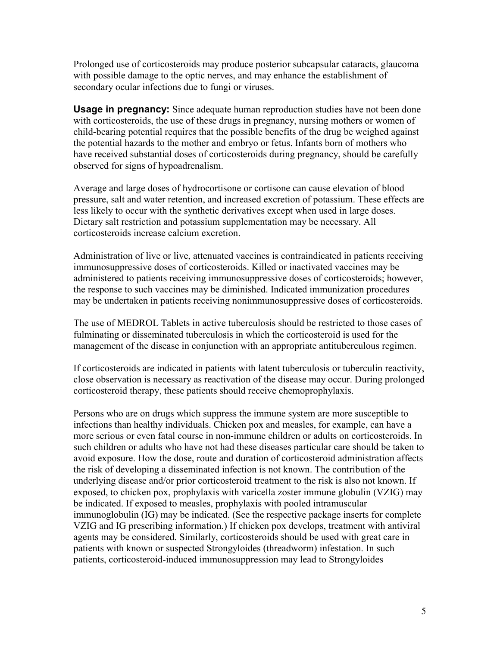Prolonged use of corticosteroids may produce posterior subcapsular cataracts, glaucoma with possible damage to the optic nerves, and may enhance the establishment of secondary ocular infections due to fungi or viruses.

**Usage in pregnancy:** Since adequate human reproduction studies have not been done with corticosteroids, the use of these drugs in pregnancy, nursing mothers or women of child-bearing potential requires that the possible benefits of the drug be weighed against the potential hazards to the mother and embryo or fetus. Infants born of mothers who have received substantial doses of corticosteroids during pregnancy, should be carefully observed for signs of hypoadrenalism.

Average and large doses of hydrocortisone or cortisone can cause elevation of blood pressure, salt and water retention, and increased excretion of potassium. These effects are less likely to occur with the synthetic derivatives except when used in large doses. Dietary salt restriction and potassium supplementation may be necessary. All corticosteroids increase calcium excretion.

Administration of live or live, attenuated vaccines is contraindicated in patients receiving immunosuppressive doses of corticosteroids. Killed or inactivated vaccines may be administered to patients receiving immunosuppressive doses of corticosteroids; however, the response to such vaccines may be diminished. Indicated immunization procedures may be undertaken in patients receiving nonimmunosuppressive doses of corticosteroids.

The use of MEDROL Tablets in active tuberculosis should be restricted to those cases of fulminating or disseminated tuberculosis in which the corticosteroid is used for the management of the disease in conjunction with an appropriate antituberculous regimen.

If corticosteroids are indicated in patients with latent tuberculosis or tuberculin reactivity, close observation is necessary as reactivation of the disease may occur. During prolonged corticosteroid therapy, these patients should receive chemoprophylaxis.

Persons who are on drugs which suppress the immune system are more susceptible to infections than healthy individuals. Chicken pox and measles, for example, can have a more serious or even fatal course in non-immune children or adults on corticosteroids. In such children or adults who have not had these diseases particular care should be taken to avoid exposure. How the dose, route and duration of corticosteroid administration affects the risk of developing a disseminated infection is not known. The contribution of the underlying disease and/or prior corticosteroid treatment to the risk is also not known. If exposed, to chicken pox, prophylaxis with varicella zoster immune globulin (VZIG) may be indicated. If exposed to measles, prophylaxis with pooled intramuscular immunoglobulin (IG) may be indicated. (See the respective package inserts for complete VZIG and IG prescribing information.) If chicken pox develops, treatment with antiviral agents may be considered. Similarly, corticosteroids should be used with great care in patients with known or suspected Strongyloides (threadworm) infestation. In such patients, corticosteroid-induced immunosuppression may lead to Strongyloides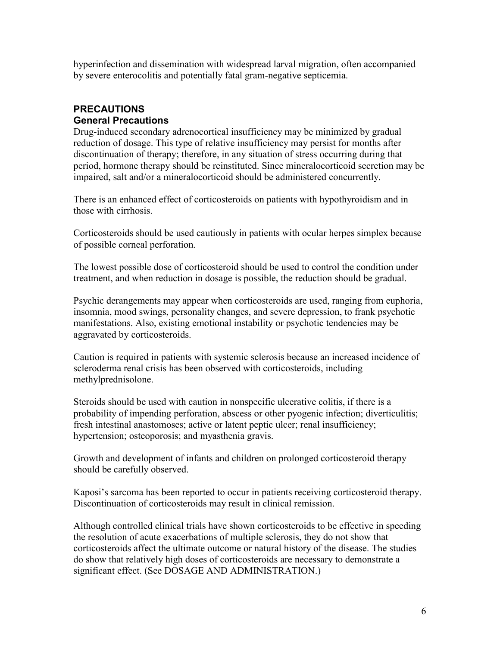hyperinfection and dissemination with widespread larval migration, often accompanied by severe enterocolitis and potentially fatal gram-negative septicemia.

# **PRECAUTIONS General Precautions**

Drug-induced secondary adrenocortical insufficiency may be minimized by gradual reduction of dosage. This type of relative insufficiency may persist for months after discontinuation of therapy; therefore, in any situation of stress occurring during that period, hormone therapy should be reinstituted. Since mineralocorticoid secretion may be impaired, salt and/or a mineralocorticoid should be administered concurrently.

There is an enhanced effect of corticosteroids on patients with hypothyroidism and in those with cirrhosis.

Corticosteroids should be used cautiously in patients with ocular herpes simplex because of possible corneal perforation.

The lowest possible dose of corticosteroid should be used to control the condition under treatment, and when reduction in dosage is possible, the reduction should be gradual.

Psychic derangements may appear when corticosteroids are used, ranging from euphoria, insomnia, mood swings, personality changes, and severe depression, to frank psychotic manifestations. Also, existing emotional instability or psychotic tendencies may be aggravated by corticosteroids.

Caution is required in patients with systemic sclerosis because an increased incidence of scleroderma renal crisis has been observed with corticosteroids, including methylprednisolone.

Steroids should be used with caution in nonspecific ulcerative colitis, if there is a probability of impending perforation, abscess or other pyogenic infection; diverticulitis; fresh intestinal anastomoses; active or latent peptic ulcer; renal insufficiency; hypertension; osteoporosis; and myasthenia gravis.

Growth and development of infants and children on prolonged corticosteroid therapy should be carefully observed.

Kaposi's sarcoma has been reported to occur in patients receiving corticosteroid therapy. Discontinuation of corticosteroids may result in clinical remission.

Although controlled clinical trials have shown corticosteroids to be effective in speeding the resolution of acute exacerbations of multiple sclerosis, they do not show that corticosteroids affect the ultimate outcome or natural history of the disease. The studies do show that relatively high doses of corticosteroids are necessary to demonstrate a significant effect. (See DOSAGE AND ADMINISTRATION.)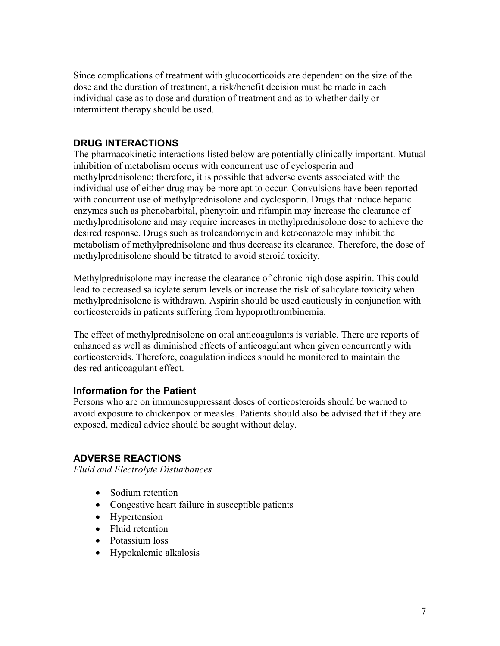Since complications of treatment with glucocorticoids are dependent on the size of the dose and the duration of treatment, a risk/benefit decision must be made in each individual case as to dose and duration of treatment and as to whether daily or intermittent therapy should be used.

## **DRUG INTERACTIONS**

The pharmacokinetic interactions listed below are potentially clinically important. Mutual inhibition of metabolism occurs with concurrent use of cyclosporin and methylprednisolone; therefore, it is possible that adverse events associated with the individual use of either drug may be more apt to occur. Convulsions have been reported with concurrent use of methylprednisolone and cyclosporin. Drugs that induce hepatic enzymes such as phenobarbital, phenytoin and rifampin may increase the clearance of methylprednisolone and may require increases in methylprednisolone dose to achieve the desired response. Drugs such as troleandomycin and ketoconazole may inhibit the metabolism of methylprednisolone and thus decrease its clearance. Therefore, the dose of methylprednisolone should be titrated to avoid steroid toxicity.

Methylprednisolone may increase the clearance of chronic high dose aspirin. This could lead to decreased salicylate serum levels or increase the risk of salicylate toxicity when methylprednisolone is withdrawn. Aspirin should be used cautiously in conjunction with corticosteroids in patients suffering from hypoprothrombinemia.

The effect of methylprednisolone on oral anticoagulants is variable. There are reports of enhanced as well as diminished effects of anticoagulant when given concurrently with corticosteroids. Therefore, coagulation indices should be monitored to maintain the desired anticoagulant effect.

#### **Information for the Patient**

Persons who are on immunosuppressant doses of corticosteroids should be warned to avoid exposure to chickenpox or measles. Patients should also be advised that if they are exposed, medical advice should be sought without delay.

## **ADVERSE REACTIONS**

*Fluid and Electrolyte Disturbances*

- Sodium retention
- Congestive heart failure in susceptible patients
- Hypertension
- Fluid retention
- Potassium loss
- Hypokalemic alkalosis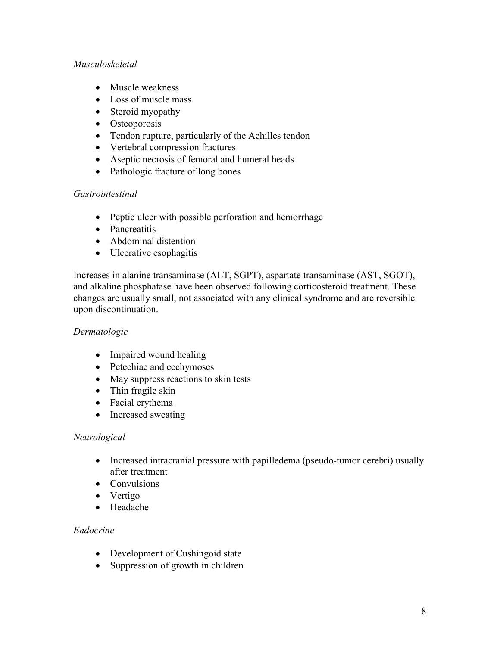#### *Musculoskeletal*

- Muscle weakness
- Loss of muscle mass
- Steroid myopathy
- Osteoporosis
- Tendon rupture, particularly of the Achilles tendon
- Vertebral compression fractures
- Aseptic necrosis of femoral and humeral heads
- Pathologic fracture of long bones

#### *Gastrointestinal*

- Peptic ulcer with possible perforation and hemorrhage
- Pancreatitis
- Abdominal distention
- Ulcerative esophagitis

Increases in alanine transaminase (ALT, SGPT), aspartate transaminase (AST, SGOT), and alkaline phosphatase have been observed following corticosteroid treatment. These changes are usually small, not associated with any clinical syndrome and are reversible upon discontinuation.

#### *Dermatologic*

- Impaired wound healing
- Petechiae and ecchymoses
- May suppress reactions to skin tests
- Thin fragile skin
- Facial erythema
- Increased sweating

#### *Neurological*

- Increased intracranial pressure with papilledema (pseudo-tumor cerebri) usually after treatment
- Convulsions
- Vertigo
- Headache

#### *Endocrine*

- Development of Cushingoid state
- Suppression of growth in children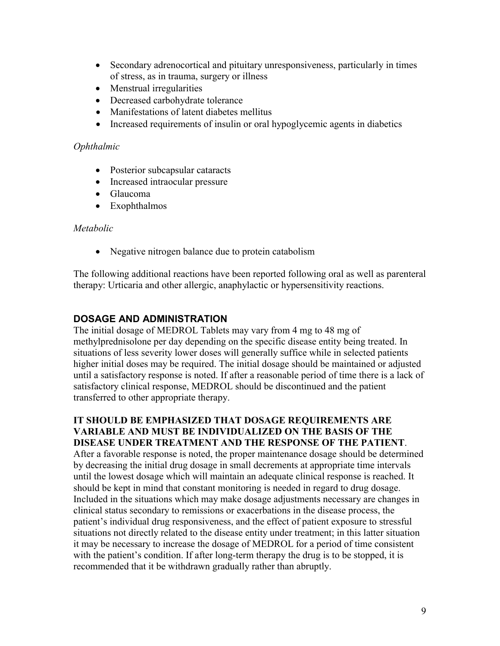- Secondary adrenocortical and pituitary unresponsiveness, particularly in times of stress, as in trauma, surgery or illness
- Menstrual irregularities
- Decreased carbohydrate tolerance
- Manifestations of latent diabetes mellitus
- Increased requirements of insulin or oral hypoglycemic agents in diabetics

#### *Ophthalmic*

- Posterior subcapsular cataracts
- Increased intraocular pressure
- Glaucoma
- Exophthalmos

#### *Metabolic*

• Negative nitrogen balance due to protein catabolism

The following additional reactions have been reported following oral as well as parenteral therapy: Urticaria and other allergic, anaphylactic or hypersensitivity reactions.

## **DOSAGE AND ADMINISTRATION**

The initial dosage of MEDROL Tablets may vary from 4 mg to 48 mg of methylprednisolone per day depending on the specific disease entity being treated. In situations of less severity lower doses will generally suffice while in selected patients higher initial doses may be required. The initial dosage should be maintained or adjusted until a satisfactory response is noted. If after a reasonable period of time there is a lack of satisfactory clinical response, MEDROL should be discontinued and the patient transferred to other appropriate therapy.

**IT SHOULD BE EMPHASIZED THAT DOSAGE REQUIREMENTS ARE VARIABLE AND MUST BE INDIVIDUALIZED ON THE BASIS OF THE DISEASE UNDER TREATMENT AND THE RESPONSE OF THE PATIENT**. After a favorable response is noted, the proper maintenance dosage should be determined by decreasing the initial drug dosage in small decrements at appropriate time intervals

until the lowest dosage which will maintain an adequate clinical response is reached. It should be kept in mind that constant monitoring is needed in regard to drug dosage. Included in the situations which may make dosage adjustments necessary are changes in clinical status secondary to remissions or exacerbations in the disease process, the patient's individual drug responsiveness, and the effect of patient exposure to stressful situations not directly related to the disease entity under treatment; in this latter situation it may be necessary to increase the dosage of MEDROL for a period of time consistent with the patient's condition. If after long-term therapy the drug is to be stopped, it is recommended that it be withdrawn gradually rather than abruptly.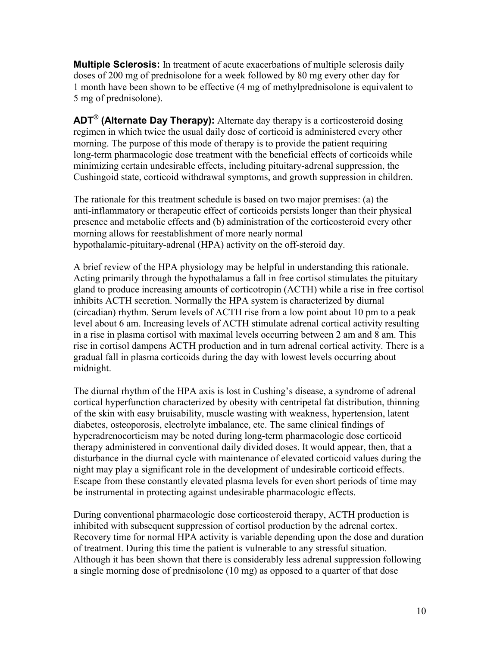**Multiple Sclerosis:** In treatment of acute exacerbations of multiple sclerosis daily doses of 200 mg of prednisolone for a week followed by 80 mg every other day for 1 month have been shown to be effective (4 mg of methylprednisolone is equivalent to 5 mg of prednisolone).

**ADT ® (Alternate Day Therapy):** Alternate day therapy is a corticosteroid dosing regimen in which twice the usual daily dose of corticoid is administered every other morning. The purpose of this mode of therapy is to provide the patient requiring long-term pharmacologic dose treatment with the beneficial effects of corticoids while minimizing certain undesirable effects, including pituitary-adrenal suppression, the Cushingoid state, corticoid withdrawal symptoms, and growth suppression in children.

The rationale for this treatment schedule is based on two major premises: (a) the anti-inflammatory or therapeutic effect of corticoids persists longer than their physical presence and metabolic effects and (b) administration of the corticosteroid every other morning allows for reestablishment of more nearly normal hypothalamic-pituitary-adrenal (HPA) activity on the off-steroid day.

A brief review of the HPA physiology may be helpful in understanding this rationale. Acting primarily through the hypothalamus a fall in free cortisol stimulates the pituitary gland to produce increasing amounts of corticotropin (ACTH) while a rise in free cortisol inhibits ACTH secretion. Normally the HPA system is characterized by diurnal (circadian) rhythm. Serum levels of ACTH rise from a low point about 10 pm to a peak level about 6 am. Increasing levels of ACTH stimulate adrenal cortical activity resulting in a rise in plasma cortisol with maximal levels occurring between 2 am and 8 am. This rise in cortisol dampens ACTH production and in turn adrenal cortical activity. There is a gradual fall in plasma corticoids during the day with lowest levels occurring about midnight.

The diurnal rhythm of the HPA axis is lost in Cushing's disease, a syndrome of adrenal cortical hyperfunction characterized by obesity with centripetal fat distribution, thinning of the skin with easy bruisability, muscle wasting with weakness, hypertension, latent diabetes, osteoporosis, electrolyte imbalance, etc. The same clinical findings of hyperadrenocorticism may be noted during long-term pharmacologic dose corticoid therapy administered in conventional daily divided doses. It would appear, then, that a disturbance in the diurnal cycle with maintenance of elevated corticoid values during the night may play a significant role in the development of undesirable corticoid effects. Escape from these constantly elevated plasma levels for even short periods of time may be instrumental in protecting against undesirable pharmacologic effects.

During conventional pharmacologic dose corticosteroid therapy, ACTH production is inhibited with subsequent suppression of cortisol production by the adrenal cortex. Recovery time for normal HPA activity is variable depending upon the dose and duration of treatment. During this time the patient is vulnerable to any stressful situation. Although it has been shown that there is considerably less adrenal suppression following a single morning dose of prednisolone (10 mg) as opposed to a quarter of that dose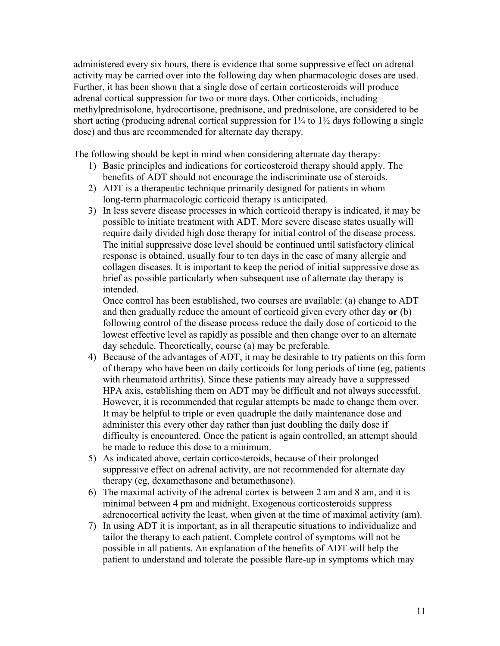administered every six hours, there is evidence that some suppressive effect on adrenal activity may be carried over into the following day when pharmacologic doses are used. Further, it has been shown that a single dose of certain corticosteroids will produce adrenal cortical suppression for two or more days. Other corticoids, including methylprednisolone, hydrocortisone, prednisone, and prednisolone, are considered to be short acting (producing adrenal cortical suppression for  $1\frac{1}{4}$  to  $1\frac{1}{2}$  days following a single dose) and thus are recommended for alternate day therapy.

The following should be kept in mind when considering alternate day therapy:

- 1) Basic principles and indications for corticosteroid therapy should apply. The benefits of ADT should not encourage the indiscriminate use of steroids.
- 2) ADT is a therapeutic technique primarily designed for patients in whom long-term pharmacologic corticoid therapy is anticipated.
- 3) In less severe disease processes in which corticoid therapy is indicated, it may be possible to initiate treatment with ADT. More severe disease states usually will require daily divided high dose therapy for initial control of the disease process. The initial suppressive dose level should be continued until satisfactory clinical response is obtained, usually four to ten days in the case of many allergic and collagen diseases. It is important to keep the period of initial suppressive dose as brief as possible particularly when subsequent use of alternate day therapy is intended.

Once control has been established, two courses are available: (a) change to ADT and then gradually reduce the amount of corticoid given every other day **or** (b) following control of the disease process reduce the daily dose of corticoid to the lowest effective level as rapidly as possible and then change over to an alternate day schedule. Theoretically, course (a) may be preferable.

- 4) Because of the advantages of ADT, it may be desirable to try patients on this form of therapy who have been on daily corticoids for long periods of time (eg, patients with rheumatoid arthritis). Since these patients may already have a suppressed HPA axis, establishing them on ADT may be difficult and not always successful. However, it is recommended that regular attempts be made to change them over. It may be helpful to triple or even quadruple the daily maintenance dose and administer this every other day rather than just doubling the daily dose if difficulty is encountered. Once the patient is again controlled, an attempt should be made to reduce this dose to a minimum.
- 5) As indicated above, certain corticosteroids, because of their prolonged suppressive effect on adrenal activity, are not recommended for alternate day therapy (eg, dexamethasone and betamethasone).
- 6) The maximal activity of the adrenal cortex is between 2 am and 8 am, and it is minimal between 4 pm and midnight. Exogenous corticosteroids suppress adrenocortical activity the least, when given at the time of maximal activity (am).
- 7) In using ADT it is important, as in all therapeutic situations to individualize and tailor the therapy to each patient. Complete control of symptoms will not be possible in all patients. An explanation of the benefits of ADT will help the patient to understand and tolerate the possible flare-up in symptoms which may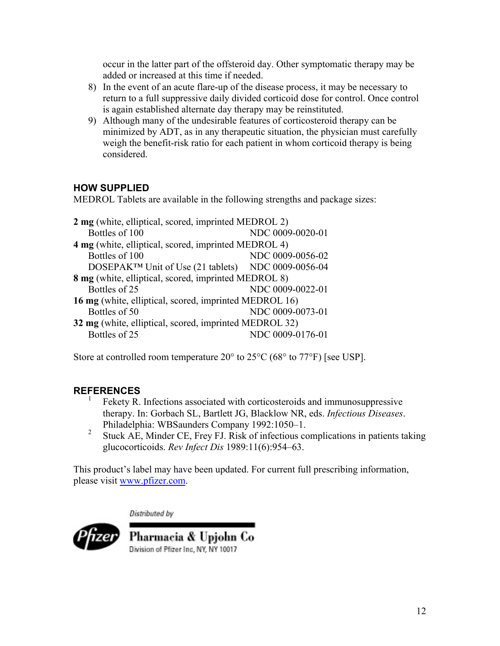occur in the latter part of the offsteroid day. Other symptomatic therapy may be added or increased at this time if needed.

- 8) In the event of an acute flare-up of the disease process, it may be necessary to return to a full suppressive daily divided corticoid dose for control. Once control is again established alternate day therapy may be reinstituted.
- 9) Although many of the undesirable features of corticosteroid therapy can be minimized by ADT, as in any therapeutic situation, the physician must carefully weigh the benefit-risk ratio for each patient in whom corticoid therapy is being considered.

## **HOW SUPPLIED**

MEDROL Tablets are available in the following strengths and package sizes:

| 2 mg (white, elliptical, scored, imprinted MEDROL 2)            |                  |
|-----------------------------------------------------------------|------------------|
| Bottles of 100                                                  | NDC 0009-0020-01 |
| 4 mg (white, elliptical, scored, imprinted MEDROL 4)            |                  |
| Bottles of 100                                                  | NDC 0009-0056-02 |
| DOSEPAK <sup>TM</sup> Unit of Use (21 tablets) NDC 0009-0056-04 |                  |
| 8 mg (white, elliptical, scored, imprinted MEDROL 8)            |                  |
| Bottles of 25                                                   | NDC 0009-0022-01 |
| 16 mg (white, elliptical, scored, imprinted MEDROL 16)          |                  |
| Bottles of 50                                                   | NDC 0009-0073-01 |
| 32 mg (white, elliptical, scored, imprinted MEDROL 32)          |                  |
| Bottles of 25                                                   | NDC 0009-0176-01 |

Store at controlled room temperature 20° to 25°C (68° to 77°F) [see USP].

# **REFERENCES**

- 1 Fekety R. Infections associated with corticosteroids and immunosuppressive therapy. In: Gorbach SL, Bartlett JG, Blacklow NR, eds. *Infectious Diseases*. Philadelphia: WBSaunders Company 1992:1050–1.
- 2 Stuck AE, Minder CE, Frey FJ. Risk of infectious complications in patients taking glucocorticoids. *Rev Infect Dis* 1989:11(6):954–63.

This product's label may have been updated. For current full prescribing information, please visit [www.pfizer.com](http://www.pfizer.com/).

Distributed by